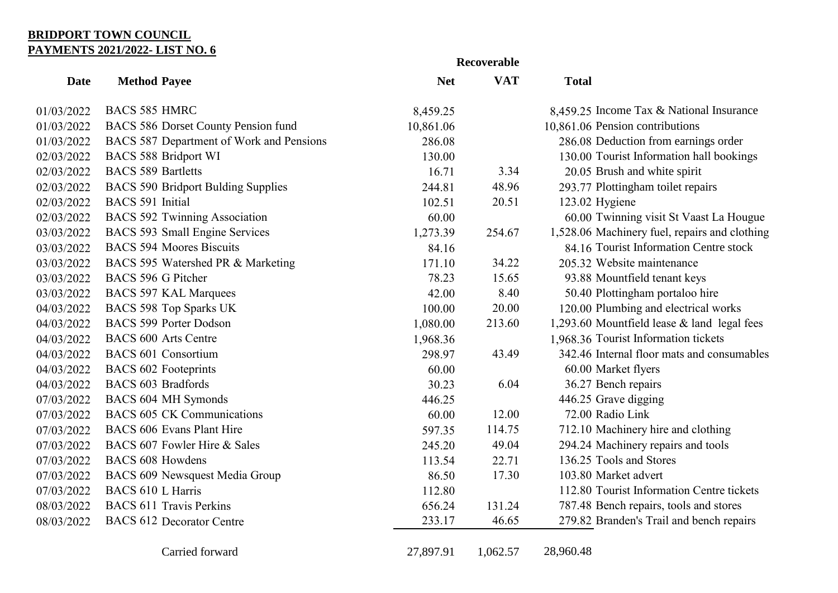## **BRIDPORT TOWN COUNCIL PAYMENTS 2021/2022- LIST NO. 6**

|             |                                           |            | Recoverable |                                               |
|-------------|-------------------------------------------|------------|-------------|-----------------------------------------------|
| <b>Date</b> | <b>Method Payee</b>                       | <b>Net</b> | <b>VAT</b>  | <b>Total</b>                                  |
| 01/03/2022  | <b>BACS 585 HMRC</b>                      | 8,459.25   |             | 8,459.25 Income Tax & National Insurance      |
| 01/03/2022  | BACS 586 Dorset County Pension fund       | 10,861.06  |             | 10,861.06 Pension contributions               |
| 01/03/2022  | BACS 587 Department of Work and Pensions  | 286.08     |             | 286.08 Deduction from earnings order          |
| 02/03/2022  | <b>BACS 588 Bridport WI</b>               | 130.00     |             | 130.00 Tourist Information hall bookings      |
| 02/03/2022  | <b>BACS 589 Bartletts</b>                 | 16.71      | 3.34        | 20.05 Brush and white spirit                  |
| 02/03/2022  | <b>BACS 590 Bridport Bulding Supplies</b> | 244.81     | 48.96       | 293.77 Plottingham toilet repairs             |
| 02/03/2022  | BACS 591 Initial                          | 102.51     | 20.51       | 123.02 Hygiene                                |
| 02/03/2022  | <b>BACS 592 Twinning Association</b>      | 60.00      |             | 60.00 Twinning visit St Vaast La Hougue       |
| 03/03/2022  | BACS 593 Small Engine Services            | 1,273.39   | 254.67      | 1,528.06 Machinery fuel, repairs and clothing |
| 03/03/2022  | <b>BACS 594 Moores Biscuits</b>           | 84.16      |             | 84.16 Tourist Information Centre stock        |
| 03/03/2022  | BACS 595 Watershed PR & Marketing         | 171.10     | 34.22       | 205.32 Website maintenance                    |
| 03/03/2022  | BACS 596 G Pitcher                        | 78.23      | 15.65       | 93.88 Mountfield tenant keys                  |
| 03/03/2022  | <b>BACS 597 KAL Marquees</b>              | 42.00      | 8.40        | 50.40 Plottingham portaloo hire               |
| 04/03/2022  | BACS 598 Top Sparks UK                    | 100.00     | 20.00       | 120.00 Plumbing and electrical works          |
| 04/03/2022  | <b>BACS 599 Porter Dodson</b>             | 1,080.00   | 213.60      | 1,293.60 Mountfield lease & land legal fees   |
| 04/03/2022  | <b>BACS 600 Arts Centre</b>               | 1,968.36   |             | 1,968.36 Tourist Information tickets          |
| 04/03/2022  | <b>BACS 601 Consortium</b>                | 298.97     | 43.49       | 342.46 Internal floor mats and consumables    |
| 04/03/2022  | <b>BACS 602 Footeprints</b>               | 60.00      |             | 60.00 Market flyers                           |
| 04/03/2022  | <b>BACS 603 Bradfords</b>                 | 30.23      | 6.04        | 36.27 Bench repairs                           |
| 07/03/2022  | BACS 604 MH Symonds                       | 446.25     |             | 446.25 Grave digging                          |
| 07/03/2022  | <b>BACS 605 CK Communications</b>         | 60.00      | 12.00       | 72.00 Radio Link                              |
| 07/03/2022  | <b>BACS 606 Evans Plant Hire</b>          | 597.35     | 114.75      | 712.10 Machinery hire and clothing            |
| 07/03/2022  | BACS 607 Fowler Hire & Sales              | 245.20     | 49.04       | 294.24 Machinery repairs and tools            |
| 07/03/2022  | <b>BACS 608 Howdens</b>                   | 113.54     | 22.71       | 136.25 Tools and Stores                       |
| 07/03/2022  | BACS 609 Newsquest Media Group            | 86.50      | 17.30       | 103.80 Market advert                          |
| 07/03/2022  | BACS 610 L Harris                         | 112.80     |             | 112.80 Tourist Information Centre tickets     |
| 08/03/2022  | <b>BACS 611 Travis Perkins</b>            | 656.24     | 131.24      | 787.48 Bench repairs, tools and stores        |
| 08/03/2022  | <b>BACS 612 Decorator Centre</b>          | 233.17     | 46.65       | 279.82 Branden's Trail and bench repairs      |
|             | Carried forward                           | 27,897.91  | 1,062.57    | 28,960.48                                     |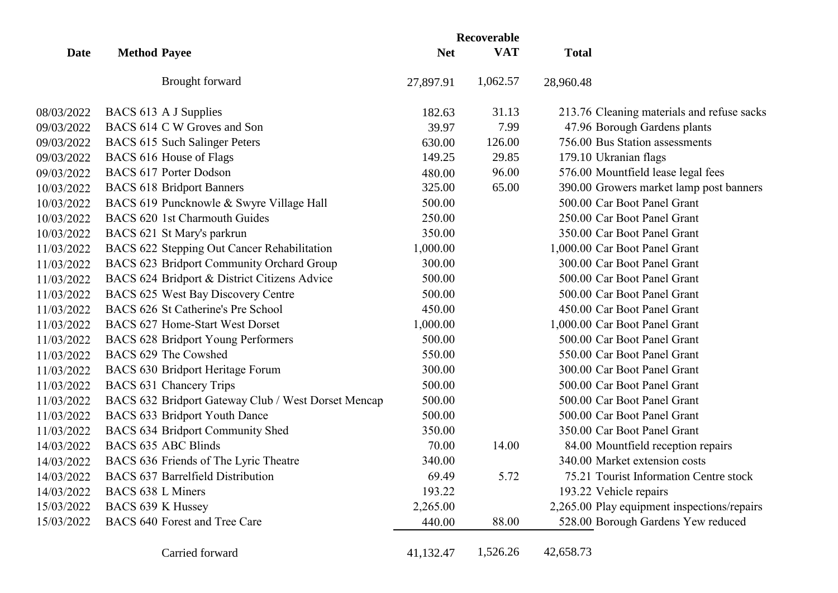|             |                     |                                                     | Recoverable |            |                                             |
|-------------|---------------------|-----------------------------------------------------|-------------|------------|---------------------------------------------|
| <b>Date</b> | <b>Method Payee</b> |                                                     | <b>Net</b>  | <b>VAT</b> | <b>Total</b>                                |
|             |                     | <b>Brought forward</b>                              | 27,897.91   | 1,062.57   | 28,960.48                                   |
| 08/03/2022  |                     | BACS 613 A J Supplies                               | 182.63      | 31.13      | 213.76 Cleaning materials and refuse sacks  |
| 09/03/2022  |                     | BACS 614 C W Groves and Son                         | 39.97       | 7.99       | 47.96 Borough Gardens plants                |
| 09/03/2022  |                     | BACS 615 Such Salinger Peters                       | 630.00      | 126.00     | 756.00 Bus Station assessments              |
| 09/03/2022  |                     | BACS 616 House of Flags                             | 149.25      | 29.85      | 179.10 Ukranian flags                       |
| 09/03/2022  |                     | <b>BACS 617 Porter Dodson</b>                       | 480.00      | 96.00      | 576.00 Mountfield lease legal fees          |
| 10/03/2022  |                     | <b>BACS 618 Bridport Banners</b>                    | 325.00      | 65.00      | 390.00 Growers market lamp post banners     |
| 10/03/2022  |                     | BACS 619 Puncknowle & Swyre Village Hall            | 500.00      |            | 500.00 Car Boot Panel Grant                 |
| 10/03/2022  |                     | BACS 620 1st Charmouth Guides                       | 250.00      |            | 250.00 Car Boot Panel Grant                 |
| 10/03/2022  |                     | BACS 621 St Mary's parkrun                          | 350.00      |            | 350.00 Car Boot Panel Grant                 |
| 11/03/2022  |                     | BACS 622 Stepping Out Cancer Rehabilitation         | 1,000.00    |            | 1,000.00 Car Boot Panel Grant               |
| 11/03/2022  |                     | BACS 623 Bridport Community Orchard Group           | 300.00      |            | 300.00 Car Boot Panel Grant                 |
| 11/03/2022  |                     | BACS 624 Bridport & District Citizens Advice        | 500.00      |            | 500.00 Car Boot Panel Grant                 |
| 11/03/2022  |                     | BACS 625 West Bay Discovery Centre                  | 500.00      |            | 500.00 Car Boot Panel Grant                 |
| 11/03/2022  |                     | BACS 626 St Catherine's Pre School                  | 450.00      |            | 450.00 Car Boot Panel Grant                 |
| 11/03/2022  |                     | BACS 627 Home-Start West Dorset                     | 1,000.00    |            | 1,000.00 Car Boot Panel Grant               |
| 11/03/2022  |                     | <b>BACS 628 Bridport Young Performers</b>           | 500.00      |            | 500.00 Car Boot Panel Grant                 |
| 11/03/2022  |                     | BACS 629 The Cowshed                                | 550.00      |            | 550.00 Car Boot Panel Grant                 |
| 11/03/2022  |                     | BACS 630 Bridport Heritage Forum                    | 300.00      |            | 300.00 Car Boot Panel Grant                 |
| 11/03/2022  |                     | <b>BACS 631 Chancery Trips</b>                      | 500.00      |            | 500.00 Car Boot Panel Grant                 |
| 11/03/2022  |                     | BACS 632 Bridport Gateway Club / West Dorset Mencap | 500.00      |            | 500.00 Car Boot Panel Grant                 |
| 11/03/2022  |                     | BACS 633 Bridport Youth Dance                       | 500.00      |            | 500.00 Car Boot Panel Grant                 |
| 11/03/2022  |                     | BACS 634 Bridport Community Shed                    | 350.00      |            | 350.00 Car Boot Panel Grant                 |
| 14/03/2022  |                     | <b>BACS 635 ABC Blinds</b>                          | 70.00       | 14.00      | 84.00 Mountfield reception repairs          |
| 14/03/2022  |                     | BACS 636 Friends of The Lyric Theatre               | 340.00      |            | 340.00 Market extension costs               |
| 14/03/2022  |                     | <b>BACS 637 Barrelfield Distribution</b>            | 69.49       | 5.72       | 75.21 Tourist Information Centre stock      |
| 14/03/2022  | BACS 638 L Miners   |                                                     | 193.22      |            | 193.22 Vehicle repairs                      |
| 15/03/2022  | BACS 639 K Hussey   |                                                     | 2,265.00    |            | 2,265.00 Play equipment inspections/repairs |
| 15/03/2022  |                     | BACS 640 Forest and Tree Care                       | 440.00      | 88.00      | 528.00 Borough Gardens Yew reduced          |
|             |                     | Carried forward                                     | 41,132.47   | 1,526.26   | 42,658.73                                   |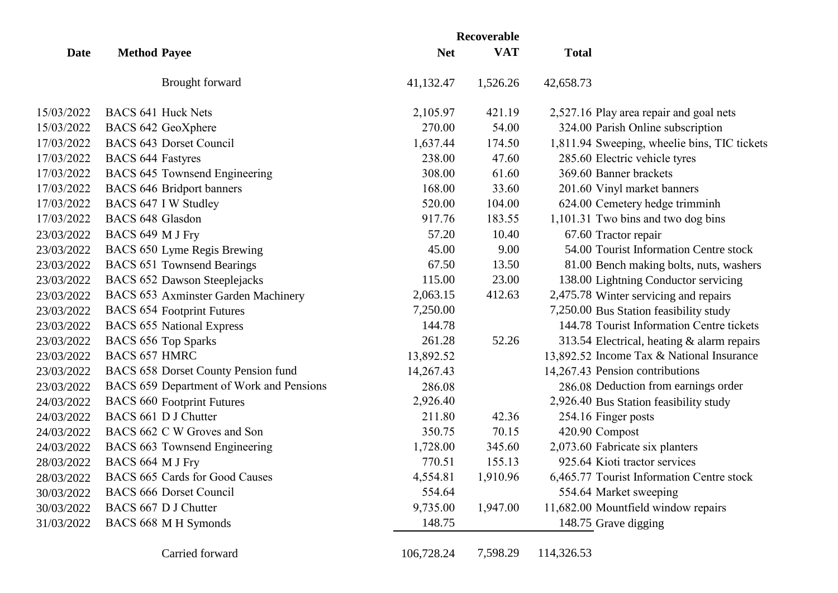|             |                          |                                          | Recoverable |            |                                              |
|-------------|--------------------------|------------------------------------------|-------------|------------|----------------------------------------------|
| <b>Date</b> | <b>Method Payee</b>      |                                          | <b>Net</b>  | <b>VAT</b> | <b>Total</b>                                 |
|             |                          | Brought forward                          | 41,132.47   | 1,526.26   | 42,658.73                                    |
| 15/03/2022  |                          | <b>BACS 641 Huck Nets</b>                | 2,105.97    | 421.19     | 2,527.16 Play area repair and goal nets      |
| 15/03/2022  |                          | BACS 642 GeoXphere                       | 270.00      | 54.00      | 324.00 Parish Online subscription            |
| 17/03/2022  |                          | <b>BACS 643 Dorset Council</b>           | 1,637.44    | 174.50     | 1,811.94 Sweeping, wheelie bins, TIC tickets |
| 17/03/2022  | <b>BACS 644 Fastyres</b> |                                          | 238.00      | 47.60      | 285.60 Electric vehicle tyres                |
| 17/03/2022  |                          | BACS 645 Townsend Engineering            | 308.00      | 61.60      | 369.60 Banner brackets                       |
| 17/03/2022  |                          | <b>BACS 646 Bridport banners</b>         | 168.00      | 33.60      | 201.60 Vinyl market banners                  |
| 17/03/2022  |                          | BACS 647 I W Studley                     | 520.00      | 104.00     | 624.00 Cemetery hedge trimminh               |
| 17/03/2022  | <b>BACS 648 Glasdon</b>  |                                          | 917.76      | 183.55     | 1,101.31 Two bins and two dog bins           |
| 23/03/2022  | BACS 649 M J Fry         |                                          | 57.20       | 10.40      | 67.60 Tractor repair                         |
| 23/03/2022  |                          | BACS 650 Lyme Regis Brewing              | 45.00       | 9.00       | 54.00 Tourist Information Centre stock       |
| 23/03/2022  |                          | <b>BACS 651 Townsend Bearings</b>        | 67.50       | 13.50      | 81.00 Bench making bolts, nuts, washers      |
| 23/03/2022  |                          | BACS 652 Dawson Steeplejacks             | 115.00      | 23.00      | 138.00 Lightning Conductor servicing         |
| 23/03/2022  |                          | BACS 653 Axminster Garden Machinery      | 2,063.15    | 412.63     | 2,475.78 Winter servicing and repairs        |
| 23/03/2022  |                          | <b>BACS 654 Footprint Futures</b>        | 7,250.00    |            | 7,250.00 Bus Station feasibility study       |
| 23/03/2022  |                          | <b>BACS 655 National Express</b>         | 144.78      |            | 144.78 Tourist Information Centre tickets    |
| 23/03/2022  |                          | <b>BACS 656 Top Sparks</b>               | 261.28      | 52.26      | 313.54 Electrical, heating & alarm repairs   |
| 23/03/2022  | <b>BACS 657 HMRC</b>     |                                          | 13,892.52   |            | 13,892.52 Income Tax & National Insurance    |
| 23/03/2022  |                          | BACS 658 Dorset County Pension fund      | 14,267.43   |            | 14,267.43 Pension contributions              |
| 23/03/2022  |                          | BACS 659 Department of Work and Pensions | 286.08      |            | 286.08 Deduction from earnings order         |
| 24/03/2022  |                          | <b>BACS 660 Footprint Futures</b>        | 2,926.40    |            | 2,926.40 Bus Station feasibility study       |
| 24/03/2022  |                          | BACS 661 D J Chutter                     | 211.80      | 42.36      | 254.16 Finger posts                          |
| 24/03/2022  |                          | BACS 662 C W Groves and Son              | 350.75      | 70.15      | 420.90 Compost                               |
| 24/03/2022  |                          | BACS 663 Townsend Engineering            | 1,728.00    | 345.60     | 2,073.60 Fabricate six planters              |
| 28/03/2022  | BACS 664 M J Fry         |                                          | 770.51      | 155.13     | 925.64 Kioti tractor services                |
| 28/03/2022  |                          | BACS 665 Cards for Good Causes           | 4,554.81    | 1,910.96   | 6,465.77 Tourist Information Centre stock    |
| 30/03/2022  |                          | <b>BACS 666 Dorset Council</b>           | 554.64      |            | 554.64 Market sweeping                       |
| 30/03/2022  |                          | BACS 667 D J Chutter                     | 9,735.00    | 1,947.00   | 11,682.00 Mountfield window repairs          |
| 31/03/2022  |                          | BACS 668 M H Symonds                     | 148.75      |            | 148.75 Grave digging                         |
|             |                          | Carried forward                          | 106,728.24  | 7,598.29   | 114,326.53                                   |